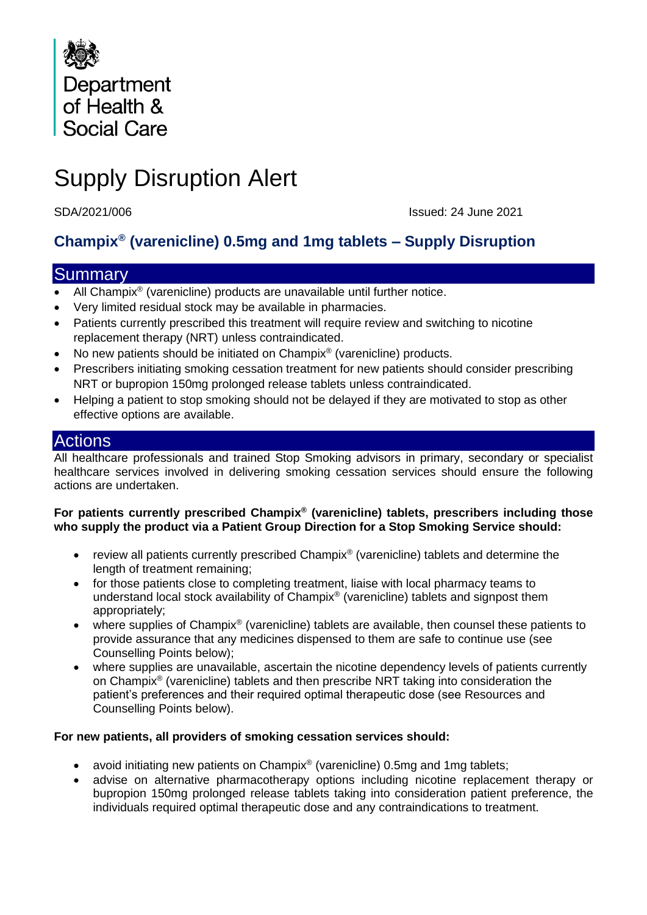

# Supply Disruption Alert

SDA/2021/006 Issued: 24 June 2021

# **Champix® (varenicline) 0.5mg and 1mg tablets – Supply Disruption**

# **Summary**

- All Champix® (varenicline) products are unavailable until further notice.
- Very limited residual stock may be available in pharmacies.
- Patients currently prescribed this treatment will require review and switching to nicotine replacement therapy (NRT) unless contraindicated.
- No new patients should be initiated on Champix<sup>®</sup> (varenicline) products.
- Prescribers initiating smoking cessation treatment for new patients should consider prescribing NRT or bupropion 150mg prolonged release tablets unless contraindicated.
- Helping a patient to stop smoking should not be delayed if they are motivated to stop as other effective options are available.

### **Actions**

All healthcare professionals and trained Stop Smoking advisors in primary, secondary or specialist healthcare services involved in delivering smoking cessation services should ensure the following actions are undertaken.

#### **For patients currently prescribed Champix® (varenicline) tablets, prescribers including those who supply the product via a Patient Group Direction for a Stop Smoking Service should:**

- review all patients currently prescribed Champix<sup>®</sup> (varenicline) tablets and determine the length of treatment remaining;
- for those patients close to completing treatment, liaise with local pharmacy teams to understand local stock availability of Champix® (varenicline) tablets and signpost them appropriately;
- where supplies of Champix® (varenicline) tablets are available, then counsel these patients to provide assurance that any medicines dispensed to them are safe to continue use (see Counselling Points below);
- where supplies are unavailable, ascertain the nicotine dependency levels of patients currently on Champix® (varenicline) tablets and then prescribe NRT taking into consideration the patient's preferences and their required optimal therapeutic dose (see Resources and Counselling Points below).

#### **For new patients, all providers of smoking cessation services should:**

- avoid initiating new patients on Champix® (varenicline) 0.5mg and 1mg tablets;
- advise on alternative pharmacotherapy options including nicotine replacement therapy or bupropion 150mg prolonged release tablets taking into consideration patient preference, the individuals required optimal therapeutic dose and any contraindications to treatment.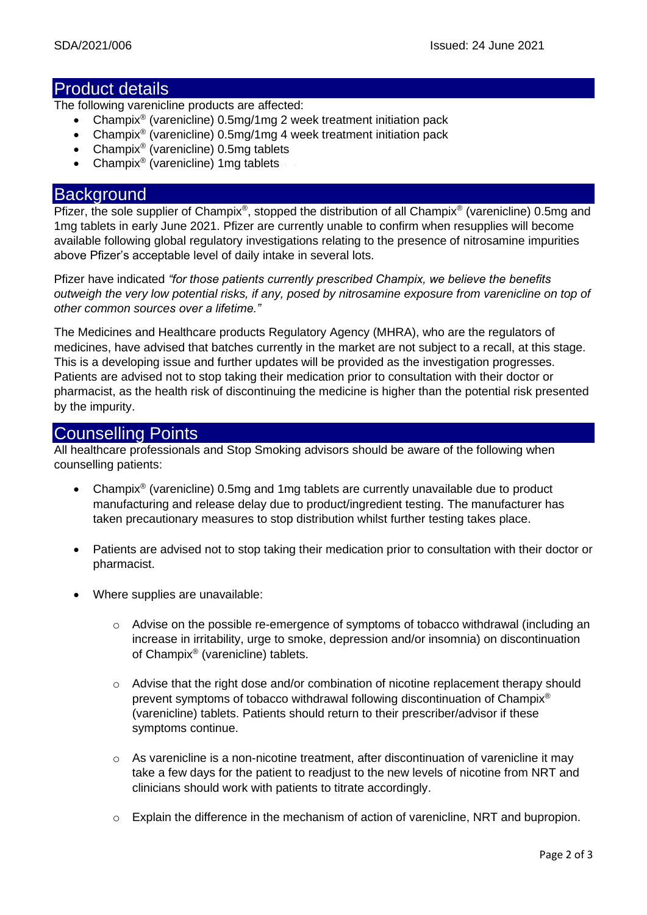## Product details

The following varenicline products are affected:

- Champix<sup>®</sup> (varenicline) 0.5mg/1mg 2 week treatment initiation pack
- Champix<sup>®</sup> (varenicline) 0.5mg/1mg 4 week treatment initiation pack
- Champix<sup>®</sup> (varenicline) 0.5mg tablets
- Champix<sup>®</sup> (varenicline) 1mg tablets

#### **Background**

Pfizer, the sole supplier of Champix<sup>®</sup>, stopped the distribution of all Champix<sup>®</sup> (varenicline) 0.5mg and 1mg tablets in early June 2021. Pfizer are currently unable to confirm when resupplies will become available following global regulatory investigations relating to the presence of nitrosamine impurities above Pfizer's acceptable level of daily intake in several lots.

Pfizer have indicated *"for those patients currently prescribed Champix, we believe the benefits outweigh the very low potential risks, if any, posed by nitrosamine exposure from varenicline on top of other common sources over a lifetime."*

The Medicines and Healthcare products Regulatory Agency (MHRA), who are the regulators of medicines, have advised that batches currently in the market are not subject to a recall, at this stage. This is a developing issue and further updates will be provided as the investigation progresses. Patients are advised not to stop taking their medication prior to consultation with their doctor or pharmacist, as the health risk of discontinuing the medicine is higher than the potential risk presented by the impurity.

# Counselling Points

All healthcare professionals and Stop Smoking advisors should be aware of the following when counselling patients:

- Champix<sup>®</sup> (varenicline) 0.5mg and 1mg tablets are currently unavailable due to product manufacturing and release delay due to product/ingredient testing. The manufacturer has taken precautionary measures to stop distribution whilst further testing takes place.
- Patients are advised not to stop taking their medication prior to consultation with their doctor or pharmacist.
- Where supplies are unavailable:
	- o Advise on the possible re-emergence of symptoms of tobacco withdrawal (including an increase in irritability, urge to smoke, depression and/or insomnia) on discontinuation of Champix® (varenicline) tablets.
	- $\circ$  Advise that the right dose and/or combination of nicotine replacement therapy should prevent symptoms of tobacco withdrawal following discontinuation of Champix® (varenicline) tablets. Patients should return to their prescriber/advisor if these symptoms continue.
	- $\circ$  As varenicline is a non-nicotine treatment, after discontinuation of varenicline it may take a few days for the patient to readjust to the new levels of nicotine from NRT and clinicians should work with patients to titrate accordingly.
	- $\circ$  Explain the difference in the mechanism of action of varenicline, NRT and bupropion.